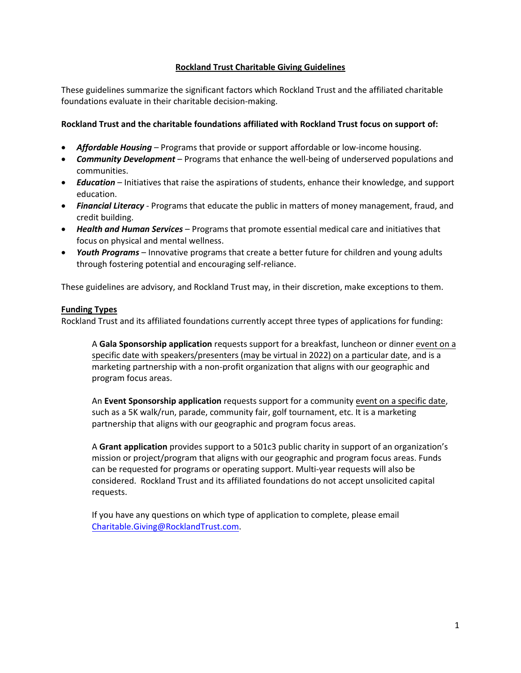# **Rockland Trust Charitable Giving Guidelines**

These guidelines summarize the significant factors which Rockland Trust and the affiliated charitable foundations evaluate in their charitable decision-making.

# **Rockland Trust and the charitable foundations affiliated with Rockland Trust focus on support of:**

- **•** *Affordable Housing* Programs that provide or support affordable or low-income housing.
- *Community Development* Programs that enhance the well-being of underserved populations and communities.
- *Education* Initiatives that raise the aspirations of students, enhance their knowledge, and support education.
- *Financial Literacy* Programs that educate the public in matters of money management, fraud, and credit building.
- *Health and Human Services* Programs that promote essential medical care and initiatives that focus on physical and mental wellness.
- *Youth Programs* Innovative programs that create a better future for children and young adults through fostering potential and encouraging self-reliance.

These guidelines are advisory, and Rockland Trust may, in their discretion, make exceptions to them.

### **Funding Types**

Rockland Trust and its affiliated foundations currently accept three types of applications for funding:

A **Gala Sponsorship application** requests support for a breakfast, luncheon or dinner event on a specific date with speakers/presenters (may be virtual in 2022) on a particular date, and is a marketing partnership with a non-profit organization that aligns with our geographic and program focus areas.

An **Event Sponsorship application** requests support for a community event on a specific date, such as a 5K walk/run, parade, community fair, golf tournament, etc. It is a marketing partnership that aligns with our geographic and program focus areas.

A **Grant application** provides support to a 501c3 public charity in support of an organization's mission or project/program that aligns with our geographic and program focus areas. Funds can be requested for programs or operating support. Multi-year requests will also be considered. Rockland Trust and its affiliated foundations do not accept unsolicited capital requests.

If you have any questions on which type of application to complete, please email [Charitable.Giving@RocklandTrust.com.](mailto:Charitable.Giving@RocklandTrust.com)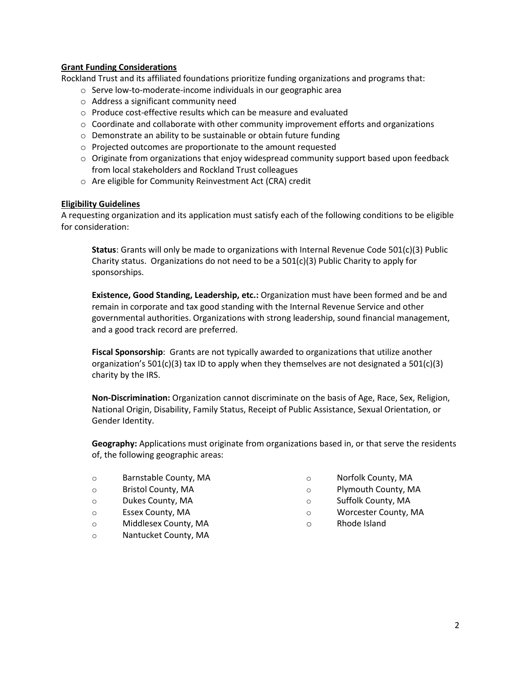# **Grant Funding Considerations**

Rockland Trust and its affiliated foundations prioritize funding organizations and programs that:

- o Serve low-to-moderate-income individuals in our geographic area
- o Address a significant community need
- o Produce cost-effective results which can be measure and evaluated
- $\circ$  Coordinate and collaborate with other community improvement efforts and organizations
- o Demonstrate an ability to be sustainable or obtain future funding
- o Projected outcomes are proportionate to the amount requested
- $\circ$  Originate from organizations that enjoy widespread community support based upon feedback from local stakeholders and Rockland Trust colleagues
- o Are eligible for Community Reinvestment Act (CRA) credit

#### **Eligibility Guidelines**

A requesting organization and its application must satisfy each of the following conditions to be eligible for consideration:

**Status**: Grants will only be made to organizations with Internal Revenue Code 501(c)(3) Public Charity status. Organizations do not need to be a  $501(c)(3)$  Public Charity to apply for sponsorships.

**Existence, Good Standing, Leadership, etc.:** Organization must have been formed and be and remain in corporate and tax good standing with the Internal Revenue Service and other governmental authorities. Organizations with strong leadership, sound financial management, and a good track record are preferred.

**Fiscal Sponsorship**: Grants are not typically awarded to organizations that utilize another organization's 501(c)(3) tax ID to apply when they themselves are not designated a 501(c)(3) charity by the IRS.

**Non-Discrimination:** Organization cannot discriminate on the basis of Age, Race, Sex, Religion, National Origin, Disability, Family Status, Receipt of Public Assistance, Sexual Orientation, or Gender Identity.

**Geography:** Applications must originate from organizations based in, or that serve the residents of, the following geographic areas:

- o Barnstable County, MA
- o Bristol County, MA
- o Dukes County, MA
- o Essex County, MA
- o Middlesex County, MA
- o Nantucket County, MA
- o Norfolk County, MA
- o Plymouth County, MA
- o Suffolk County, MA
- o Worcester County, MA
- o Rhode Island